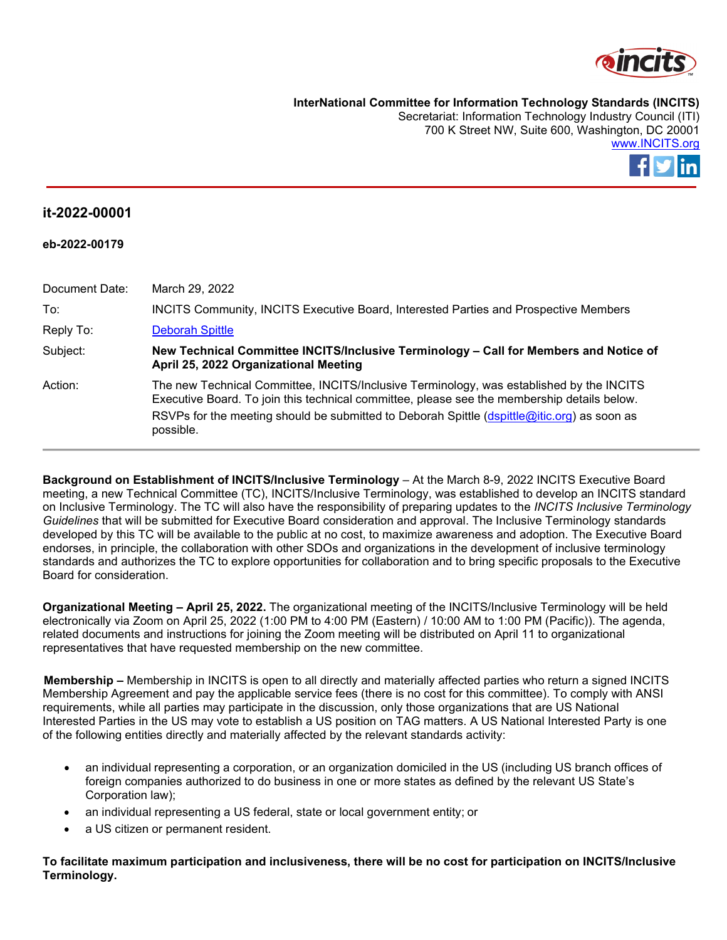

**InterNational Committee for Information Technology Standards (INCITS)**

Secretariat: Information Technology Industry Council (ITI) 700 K Street NW, Suite 600, Washington, DC 20001 [www.INCITS.org](http://www.incits.org/)



## **it-2022-00001**

| eb-2022-00179  |                                                                                                                                                                                                                                                                                                     |
|----------------|-----------------------------------------------------------------------------------------------------------------------------------------------------------------------------------------------------------------------------------------------------------------------------------------------------|
|                |                                                                                                                                                                                                                                                                                                     |
| Document Date: | March 29, 2022                                                                                                                                                                                                                                                                                      |
| To:            | <b>INCITS Community, INCITS Executive Board, Interested Parties and Prospective Members</b>                                                                                                                                                                                                         |
| Reply To:      | <b>Deborah Spittle</b>                                                                                                                                                                                                                                                                              |
| Subject:       | New Technical Committee INCITS/Inclusive Terminology – Call for Members and Notice of<br>April 25, 2022 Organizational Meeting                                                                                                                                                                      |
| Action:        | The new Technical Committee, INCITS/Inclusive Terminology, was established by the INCITS<br>Executive Board. To join this technical committee, please see the membership details below.<br>RSVPs for the meeting should be submitted to Deborah Spittle (dspittle@itic.org) as soon as<br>possible. |
|                |                                                                                                                                                                                                                                                                                                     |

**Background on Establishment of INCITS/Inclusive Terminology** – At the March 8-9, 2022 INCITS Executive Board meeting, a new Technical Committee (TC), INCITS/Inclusive Terminology, was established to develop an INCITS standard on Inclusive Terminology. The TC will also have the responsibility of preparing updates to the *INCITS Inclusive Terminology Guidelines* that will be submitted for Executive Board consideration and approval. The Inclusive Terminology standards developed by this TC will be available to the public at no cost, to maximize awareness and adoption. The Executive Board endorses, in principle, the collaboration with other SDOs and organizations in the development of inclusive terminology standards and authorizes the TC to explore opportunities for collaboration and to bring specific proposals to the Executive Board for consideration.

**Organizational Meeting – April 25, 2022.** The organizational meeting of the INCITS/Inclusive Terminology will be held electronically via Zoom on April 25, 2022 (1:00 PM to 4:00 PM (Eastern) / 10:00 AM to 1:00 PM (Pacific)). The agenda, related documents and instructions for joining the Zoom meeting will be distributed on April 11 to organizational representatives that have requested membership on the new committee.

**Membership –** Membership in INCITS is open to all directly and materially affected parties who return a signed INCITS Membership Agreement and pay the applicable service fees (there is no cost for this committee). To comply with ANSI requirements, while all parties may participate in the discussion, only those organizations that are US National Interested Parties in the US may vote to establish a US position on TAG matters. A US National Interested Party is one of the following entities directly and materially affected by the relevant standards activity:

- an individual representing a corporation, or an organization domiciled in the US (including US branch offices of foreign companies authorized to do business in one or more states as defined by the relevant US State's Corporation law);
- an individual representing a US federal, state or local government entity; or
- a US citizen or permanent resident.

**To facilitate maximum participation and inclusiveness, there will be no cost for participation on INCITS/Inclusive Terminology.**